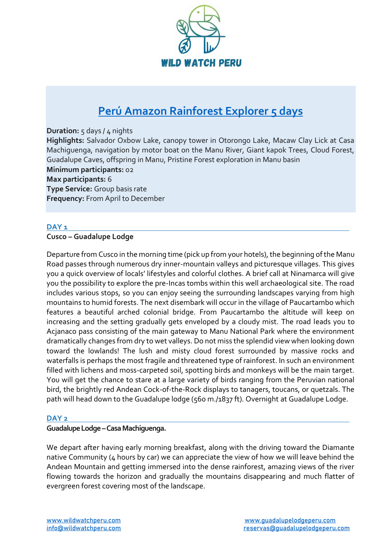

# **[Perú Amazon Rainforest Explorer 5 days](https://wildwatchperu.com/tours/peru-amazon-rainforest-explorer-5-days/)**

**Duration:** 5 days / 4 nights **Highlights:** Salvador Oxbow Lake, canopy tower in Otorongo Lake, Macaw Clay Lick at Casa Machiguenga, navigation by motor boat on the Manu River, Giant kapok Trees, Cloud Forest, Guadalupe Caves, offspring in Manu, Pristine Forest exploration in Manu basin **Minimum participants:** 02 **Max participants:** 6 **Type Service:** Group basis rate **Frequency:** From April to December

# **DAY 1**

#### **Cusco – Guadalupe Lodge**

Departure from Cusco in the morning time (pick up from your hotels), the beginning of the Manu Road passes through numerous dry inner-mountain valleys and picturesque villages. This gives you a quick overview of locals' lifestyles and colorful clothes. A brief call at Ninamarca will give you the possibility to explore the pre-Incas tombs within this well archaeological site. The road includes various stops, so you can enjoy seeing the surrounding landscapes varying from high mountains to humid forests. The next disembark will occur in the village of Paucartambo which features a beautiful arched colonial bridge. From Paucartambo the altitude will keep on increasing and the setting gradually gets enveloped by a cloudy mist. The road leads you to Acjanaco pass consisting of the main gateway to Manu National Park where the environment dramatically changes from dry to wet valleys. Do not miss the splendid view when looking down toward the lowlands! The lush and misty cloud forest surrounded by massive rocks and waterfalls is perhaps the most fragile and threatened type of rainforest. In such an environment filled with lichens and moss-carpeted soil, spotting birds and monkeys will be the main target. You will get the chance to stare at a large variety of birds ranging from the Peruvian national bird, the brightly red Andean Cock-of-the-Rock displays to tanagers, toucans, or quetzals. The path will head down to the Guadalupe lodge (560 m./1837 ft). Overnight at Guadalupe Lodge.

# **DAY 2**

# **Guadalupe Lodge –Casa Machiguenga.**

We depart after having early morning breakfast, along with the driving toward the Diamante native Community (4 hours by car) we can appreciate the view of how we will leave behind the Andean Mountain and getting immersed into the dense rainforest, amazing views of the river flowing towards the horizon and gradually the mountains disappearing and much flatter of evergreen forest covering most of the landscape.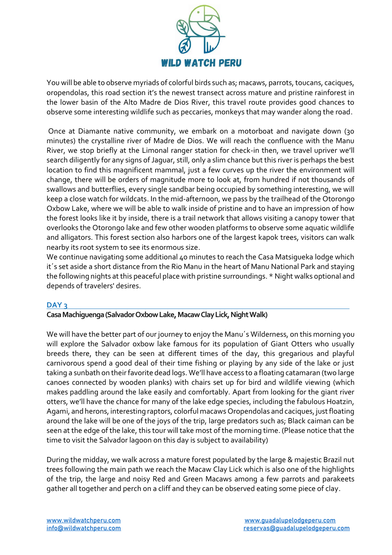

You will be able to observe myriads of colorful birds such as; macaws, parrots, toucans, caciques, oropendolas, this road section it's the newest transect across mature and pristine rainforest in the lower basin of the Alto Madre de Dios River, this travel route provides good chances to observe some interesting wildlife such as peccaries, monkeys that may wander along the road.

Once at Diamante native community, we embark on a motorboat and navigate down (30 minutes) the crystalline river of Madre de Dios. We will reach the confluence with the Manu River, we stop briefly at the Limonal ranger station for check-in then, we travel upriver we'll search diligently for any signs of Jaguar, still, only a slim chance but this river is perhaps the best location to find this magnificent mammal, just a few curves up the river the environment will change, there will be orders of magnitude more to look at, from hundred if not thousands of swallows and butterflies, every single sandbar being occupied by something interesting, we will keep a close watch for wildcats. In the mid-afternoon, we pass by the trailhead of the Otorongo Oxbow Lake, where we will be able to walk inside of pristine and to have an impression of how the forest looks like it by inside, there is a trail network that allows visiting a canopy tower that overlooks the Otorongo lake and few other wooden platforms to observe some aquatic wildlife and alligators. This forest section also harbors one of the largest kapok trees, visitors can walk nearby its root system to see its enormous size.

We continue navigating some additional 40 minutes to reach the Casa Matsigueka lodge which it´s set aside a short distance from the Rio Manu in the heart of Manu National Park and staying the following nights at this peaceful place with pristine surroundings. \* Night walks optional and depends of travelers' desires.

#### **DAY 3**

# **Casa Machiguenga(Salvador Oxbow Lake, Macaw Clay Lick, Night Walk)**

We will have the better part of our journey to enjoy the Manu´s Wilderness, on this morning you will explore the Salvador oxbow lake famous for its population of Giant Otters who usually breeds there, they can be seen at different times of the day, this gregarious and playful carnivorous spend a good deal of their time fishing or playing by any side of the lake or just taking a sunbath on their favorite dead logs. We'll have access to a floating catamaran (two large canoes connected by wooden planks) with chairs set up for bird and wildlife viewing (which makes paddling around the lake easily and comfortably. Apart from looking for the giant river otters, we'll have the chance for many of the lake edge species, including the fabulous Hoatzin, Agami, and herons, interesting raptors, colorful macaws Oropendolas and caciques, just floating around the lake will be one of the joys of the trip, large predators such as; Black caiman can be seen at the edge of the lake, this tour will take most of the morning time. (Please notice that the time to visit the Salvador lagoon on this day is subject to availability)

During the midday, we walk across a mature forest populated by the large & majestic Brazil nut trees following the main path we reach the Macaw Clay Lick which is also one of the highlights of the trip, the large and noisy Red and Green Macaws among a few parrots and parakeets gather all together and perch on a cliff and they can be observed eating some piece of clay.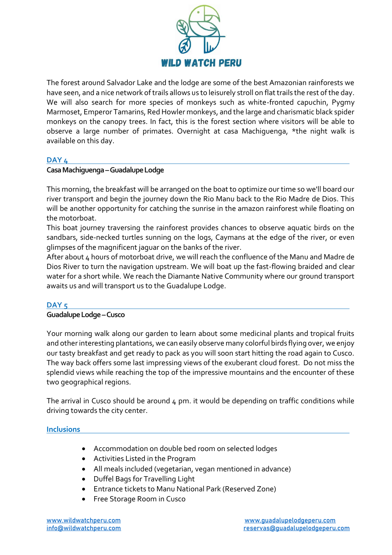

The forest around Salvador Lake and the lodge are some of the best Amazonian rainforests we have seen, and a nice network of trails allows us to leisurely stroll on flat trails the rest of the day. We will also search for more species of monkeys such as white-fronted capuchin, Pygmy Marmoset, Emperor Tamarins, Red Howler monkeys, and the large and charismatic black spider monkeys on the canopy trees. In fact, this is the forest section where visitors will be able to observe a large number of primates. Overnight at casa Machiguenga, \*the night walk is available on this day.

#### **DAY 4**

# **Casa Machiguenga–GuadalupeLodge**

This morning, the breakfast will be arranged on the boat to optimize our time so we'll board our river transport and begin the journey down the Rio Manu back to the Rio Madre de Dios. This will be another opportunity for catching the sunrise in the amazon rainforest while floating on the motorboat.

This boat journey traversing the rainforest provides chances to observe aquatic birds on the sandbars, side-necked turtles sunning on the logs, Caymans at the edge of the river, or even glimpses of the magnificent jaguar on the banks of the river.

After about 4 hours of motorboat drive, we will reach the confluence of the Manu and Madre de Dios River to turn the navigation upstream. We will boat up the fast-flowing braided and clear water for a short while. We reach the Diamante Native Community where our ground transport awaits us and will transport us to the Guadalupe Lodge.

#### **DAY 5**

#### **Guadalupe Lodge–Cusco**

Your morning walk along our garden to learn about some medicinal plants and tropical fruits and other interesting plantations, we can easily observe many colorful birds flying over, we enjoy our tasty breakfast and get ready to pack as you will soon start hitting the road again to Cusco. The way back offers some last impressing views of the exuberant cloud forest. Do not miss the splendid views while reaching the top of the impressive mountains and the encounter of these two geographical regions.

The arrival in Cusco should be around  $\mu$  pm. it would be depending on traffic conditions while driving towards the city center.

#### **Inclusions**

- Accommodation on double bed room on selected lodges
- Activities Listed in the Program
- All meals included (vegetarian, vegan mentioned in advance)
- Duffel Bags for Travelling Light
- Entrance tickets to Manu National Park (Reserved Zone)
- Free Storage Room in Cusco